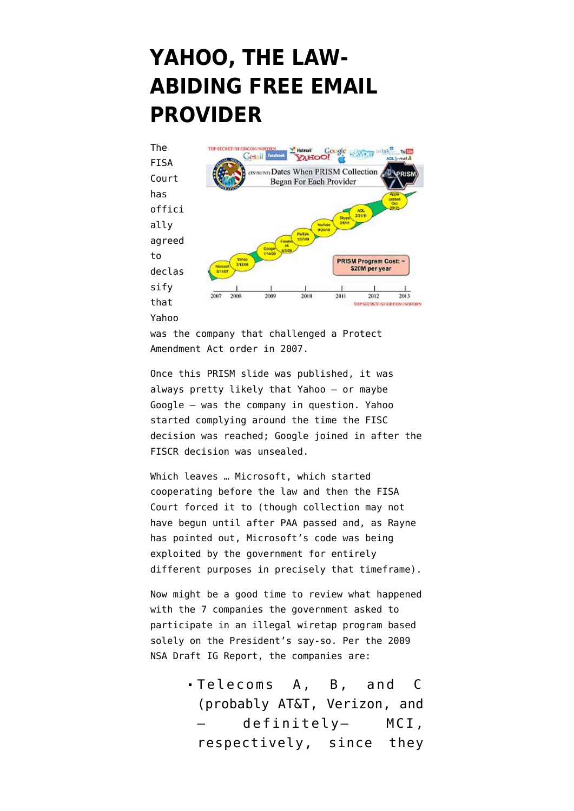## **[YAHOO, THE LAW-](https://www.emptywheel.net/2013/06/29/yahoo-the-law-abiding-free-email-provider/)[ABIDING FREE EMAIL](https://www.emptywheel.net/2013/06/29/yahoo-the-law-abiding-free-email-provider/) [PROVIDER](https://www.emptywheel.net/2013/06/29/yahoo-the-law-abiding-free-email-provider/)**



was the company that challenged a Protect Amendment Act order in 2007.

Once this PRISM slide was published, it was always pretty likely that Yahoo — or maybe Google — was the company in question. Yahoo started complying around the time the FISC decision was reached; Google joined in after the FISCR decision was unsealed.

Which leaves … Microsoft, which started cooperating before the law and then the FISA Court forced it to (though collection [may not](http://www.emptywheel.net/2013/06/07/james-clappers-tip-for-avoiding-lies-dont-do-talking-points/) [have begun](http://www.emptywheel.net/2013/06/07/james-clappers-tip-for-avoiding-lies-dont-do-talking-points/) until after PAA passed and, as [Rayne](http://www.emptywheel.net/2013/06/07/side-by-side-timeline-of-nsas-communications-collection-and-cyber-attacks/) [has pointed out,](http://www.emptywheel.net/2013/06/07/side-by-side-timeline-of-nsas-communications-collection-and-cyber-attacks/) Microsoft's code was being exploited by the government for entirely different purposes in precisely that timeframe).

Now might be a good time to review what happened with the 7 companies the government asked to participate in an illegal wiretap program based solely on the President's say-so. Per the [2009](http://www.emptywheel.net/wp-content/uploads/2013/06/090324-Draft-NSA-IG-Report.pdf) [NSA Draft IG Report](http://www.emptywheel.net/wp-content/uploads/2013/06/090324-Draft-NSA-IG-Report.pdf), the companies are:

> Telecoms A, B, and C (probably AT&T, Verizon, and — definitely– MCI, respectively, since they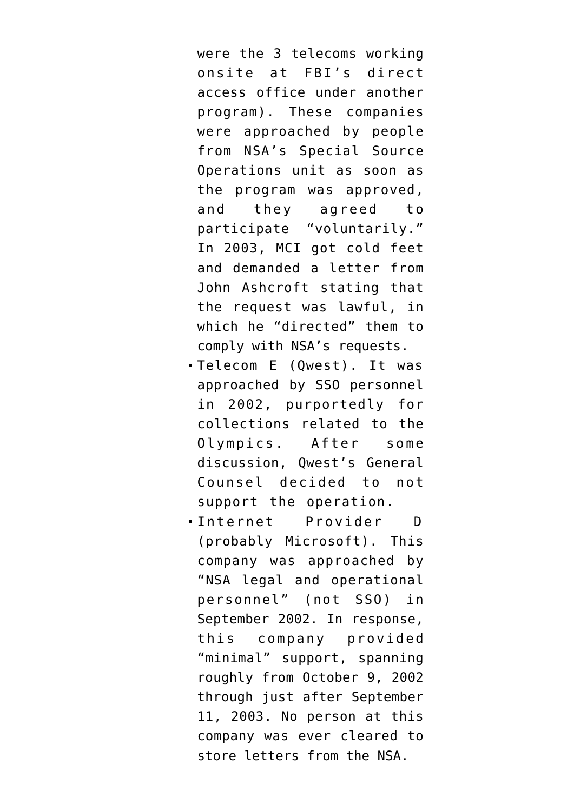were the 3 telecoms working onsite at FBI's direct access office under another program). These companies were approached by people from NSA's Special Source Operations unit as soon as the program was approved, and they agreed to participate "voluntarily." In 2003, MCI got cold feet and demanded a letter from John Ashcroft stating that the request was lawful, in which he "directed" them to comply with NSA's requests.

- Telecom E (Qwest). It was approached by SSO personnel in 2002, purportedly for collections related to the Olympics. After some discussion, Qwest's General Counsel decided to not support the operation.
- Internet Provider D (probably Microsoft). This company was approached by "NSA legal and operational personnel" (not SSO) in September 2002. In response, this company provided "minimal" support, spanning roughly from October 9, 2002 through just after September 11, 2003. No person at this company was ever cleared to store letters from the NSA.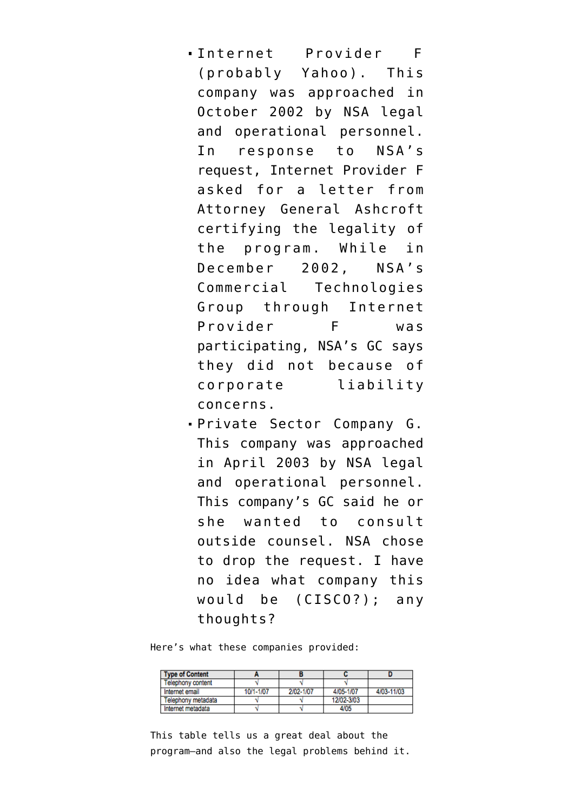- Internet Provider F (probably Yahoo). This company was approached in October 2002 by NSA legal and operational personnel. In response to NSA's request, Internet Provider F asked for a letter from Attorney General Ashcroft certifying the legality of the program. While in December 2002, NSA's Commercial Technologies Group through Internet Provider F was participating, NSA's GC says they did not because of corporate liability concerns.
- Private Sector Company G. This company was approached in April 2003 by NSA legal and operational personnel. This company's GC said he or she wanted to consult outside counsel. NSA chose to drop the request. I have no idea what company this would be (CISCO?); any thoughts?

Here's what these companies provided:

| <b>Type of Content</b> |           |           |            |            |
|------------------------|-----------|-----------|------------|------------|
| Telephony content      |           |           |            |            |
| Internet email         | 10/1-1/07 | 2/02-1/07 | 4/05-1/07  | 4/03-11/03 |
| Telephony metadata     |           |           | 12/02-3/03 |            |
| Internet metadata      |           |           | 4/05       |            |

This table tells us a great deal about the program–and also the legal problems behind it.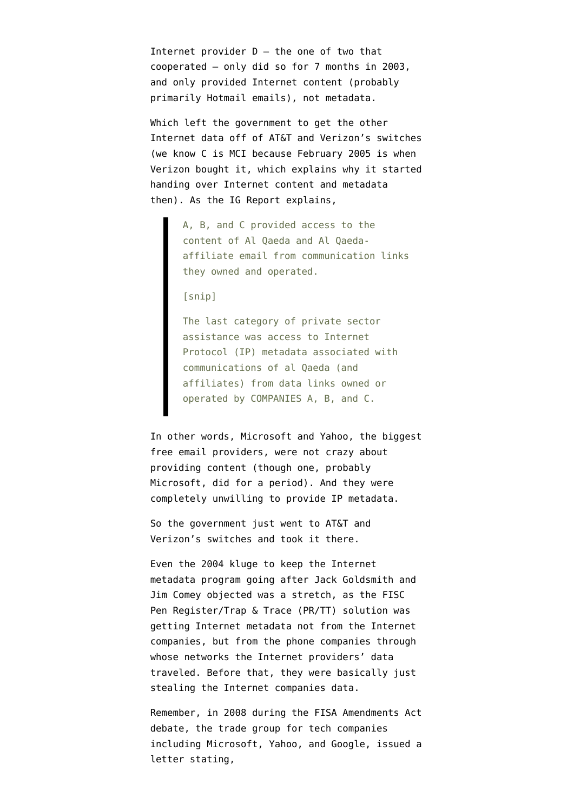Internet provider  $D -$  the one of two that cooperated — only did so for 7 months in 2003, and only provided Internet content (probably primarily Hotmail emails), not metadata.

Which left the government to get the other Internet data off of AT&T and Verizon's switches (we know C is MCI because [February 2005 is when](https://www.google.com/url?sa=t&rct=j&q=&esrc=s&source=web&cd=9&cad=rja&ved=0CIIBEBYwCA&url=http%3A%2F%2Fgigaom.com%2F2005%2F02%2F13%2Fverizon-buys-mci-for-68-billion%2F&ei=YzXPUeS7I-i5yAHAjIHoBA&usg=AFQjCNEjH-f8fJQOUARoNtY-pICpaIF4-Q&sig2=CyszykAuamAZmLkfESreeA&bvm=bv.48572450,d.aWc) [Verizon bought it,](https://www.google.com/url?sa=t&rct=j&q=&esrc=s&source=web&cd=9&cad=rja&ved=0CIIBEBYwCA&url=http%3A%2F%2Fgigaom.com%2F2005%2F02%2F13%2Fverizon-buys-mci-for-68-billion%2F&ei=YzXPUeS7I-i5yAHAjIHoBA&usg=AFQjCNEjH-f8fJQOUARoNtY-pICpaIF4-Q&sig2=CyszykAuamAZmLkfESreeA&bvm=bv.48572450,d.aWc) which explains why it started handing over Internet content and metadata then). As the IG Report explains,

> A, B, and C provided access to the content of Al Qaeda and Al Qaedaaffiliate email from communication links they owned and operated.

[snip]

The last category of private sector assistance was access to Internet Protocol (IP) metadata associated with communications of al Qaeda (and affiliates) from data links owned or operated by COMPANIES A, B, and C.

In other words, Microsoft and Yahoo, the biggest free email providers, were not crazy about providing content (though one, probably Microsoft, did for a period). And they were completely unwilling to provide IP metadata.

So the government just went to AT&T and Verizon's switches and took it there.

Even the 2004 kluge to keep the Internet metadata program going after Jack Goldsmith and Jim Comey objected was a stretch, as the FISC Pen Register/Trap & Trace (PR/TT) solution was getting Internet metadata not from the Internet companies, but from the phone companies through whose networks the Internet providers' data traveled. Before that, they were basically just stealing the Internet companies data.

Remember, in 2008 during the FISA Amendments Act debate, the trade group for tech companies including Microsoft, Yahoo, and Google, [issued a](http://www.emptywheel.net/2009/01/18/hints-that-the-fiscr-plaintiff-is-an-email-provider/) [letter](http://www.emptywheel.net/2009/01/18/hints-that-the-fiscr-plaintiff-is-an-email-provider/) stating,